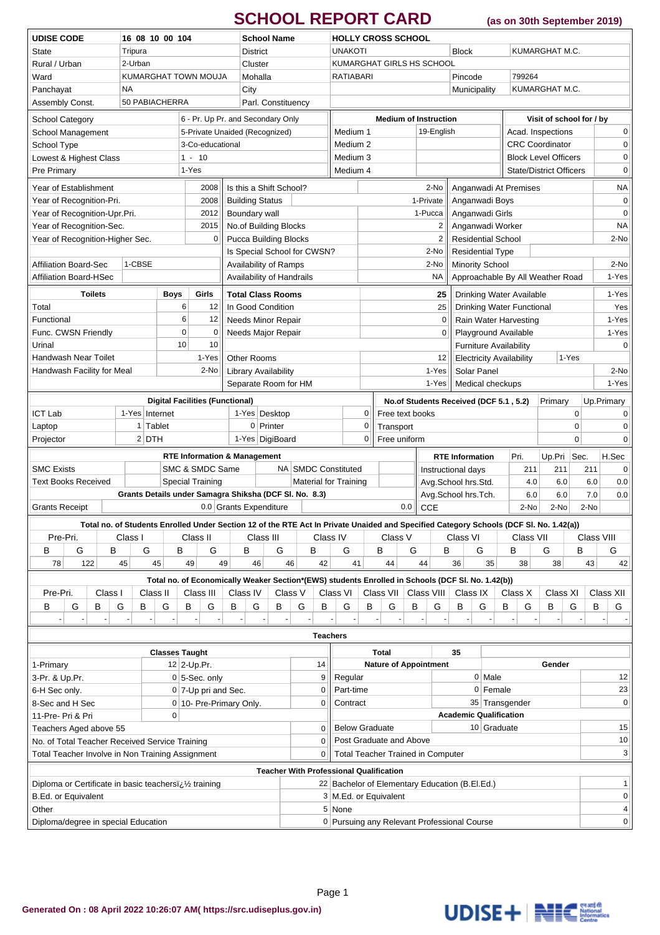## **SCHOOL REPORT CARD (as on 30th September 2019)**

|                                                                 |          |                |         |        |                       |                             |                            |                       |                      |                                         | <b>School Name</b>                                     |           |                                                                               |                              |                              |             |                                        |                                |                                                                                                                 |                                          |                                                                                                                                                    |                        |                                  |                             |                          |                |                      |              |  |
|-----------------------------------------------------------------|----------|----------------|---------|--------|-----------------------|-----------------------------|----------------------------|-----------------------|----------------------|-----------------------------------------|--------------------------------------------------------|-----------|-------------------------------------------------------------------------------|------------------------------|------------------------------|-------------|----------------------------------------|--------------------------------|-----------------------------------------------------------------------------------------------------------------|------------------------------------------|----------------------------------------------------------------------------------------------------------------------------------------------------|------------------------|----------------------------------|-----------------------------|--------------------------|----------------|----------------------|--------------|--|
| <b>UDISE CODE</b><br>16 08 10 00 104<br>Tripura<br><b>State</b> |          |                |         |        |                       |                             |                            |                       |                      |                                         |                                                        |           | <b>HOLLY CROSS SCHOOL</b><br><b>UNAKOTI</b><br><b>Block</b><br>KUMARGHAT M.C. |                              |                              |             |                                        |                                |                                                                                                                 |                                          |                                                                                                                                                    |                        |                                  |                             |                          |                |                      |              |  |
| Rural / Urban<br>2-Urban                                        |          |                |         |        |                       |                             | <b>District</b><br>Cluster |                       |                      |                                         |                                                        |           |                                                                               | KUMARGHAT GIRLS HS SCHOOL    |                              |             |                                        |                                |                                                                                                                 |                                          |                                                                                                                                                    |                        |                                  |                             |                          |                |                      |              |  |
| Ward<br>KUMARGHAT TOWN MOUJA                                    |          |                |         |        |                       |                             |                            |                       |                      | Mohalla                                 |                                                        |           |                                                                               | <b>RATIABARI</b>             |                              |             |                                        |                                |                                                                                                                 |                                          | Pincode<br>799264                                                                                                                                  |                        |                                  |                             |                          |                |                      |              |  |
| NA<br>Panchayat                                                 |          |                |         |        |                       |                             | City                       |                       |                      |                                         |                                                        |           |                                                                               |                              |                              |             |                                        |                                |                                                                                                                 |                                          | Municipality                                                                                                                                       |                        |                                  |                             |                          | KUMARGHAT M.C. |                      |              |  |
| 50 PABIACHERRA<br>Assembly Const.                               |          |                |         |        |                       |                             |                            |                       |                      | Parl. Constituency                      |                                                        |           |                                                                               |                              |                              |             |                                        |                                |                                                                                                                 |                                          |                                                                                                                                                    |                        |                                  |                             |                          |                |                      |              |  |
|                                                                 |          |                |         |        |                       |                             |                            |                       |                      |                                         |                                                        |           |                                                                               |                              |                              |             |                                        |                                |                                                                                                                 |                                          |                                                                                                                                                    |                        |                                  |                             |                          |                |                      |              |  |
| <b>School Category</b>                                          |          |                |         |        |                       |                             |                            |                       |                      |                                         | 6 - Pr. Up Pr. and Secondary Only                      |           |                                                                               |                              |                              |             |                                        |                                | <b>Medium of Instruction</b>                                                                                    |                                          |                                                                                                                                                    |                        |                                  |                             | Visit of school for / by |                |                      |              |  |
| School Management                                               |          |                |         |        |                       |                             |                            |                       |                      | 5-Private Unaided (Recognized)          | 19-English<br>Medium 1                                 |           |                                                                               |                              |                              |             |                                        |                                |                                                                                                                 | Acad. Inspections                        |                                                                                                                                                    |                        |                                  | $\mathbf 0$                 |                          |                |                      |              |  |
| School Type                                                     |          |                |         |        |                       |                             |                            | 3-Co-educational      |                      |                                         | Medium <sub>2</sub>                                    |           |                                                                               |                              |                              |             |                                        |                                |                                                                                                                 |                                          |                                                                                                                                                    | <b>CRC</b> Coordinator |                                  |                             | $\mathbf 0$              |                |                      |              |  |
| Lowest & Highest Class                                          |          |                |         |        |                       |                             | $1 - 10$                   |                       |                      |                                         |                                                        |           |                                                                               |                              | Medium 3                     |             |                                        |                                |                                                                                                                 |                                          |                                                                                                                                                    |                        |                                  | <b>Block Level Officers</b> |                          |                |                      | $\pmb{0}$    |  |
| Pre Primary                                                     |          |                |         |        |                       |                             | 1-Yes                      |                       |                      |                                         | Medium 4                                               |           |                                                                               |                              |                              |             |                                        | <b>State/District Officers</b> |                                                                                                                 |                                          |                                                                                                                                                    |                        |                                  |                             | $\mathbf 0$              |                |                      |              |  |
| Year of Establishment                                           |          |                |         |        |                       |                             |                            | 2008                  |                      |                                         | Is this a Shift School?                                |           |                                                                               | 2-No                         |                              |             |                                        |                                |                                                                                                                 |                                          |                                                                                                                                                    |                        | Anganwadi At Premises            |                             |                          |                |                      | <b>NA</b>    |  |
| Year of Recognition-Pri.                                        |          |                |         |        |                       |                             |                            | 2008                  |                      | <b>Building Status</b>                  |                                                        |           |                                                                               |                              |                              |             |                                        |                                | 1-Private                                                                                                       |                                          | Anganwadi Boys                                                                                                                                     |                        | $\mathbf 0$                      |                             |                          |                |                      |              |  |
| Year of Recognition-Upr.Pri.                                    |          |                |         |        |                       |                             | 2012                       |                       | Boundary wall        |                                         |                                                        |           |                                                                               |                              |                              |             |                                        | 1-Pucca                        |                                                                                                                 | Anganwadi Girls                          |                                                                                                                                                    |                        |                                  |                             |                          |                | $\mathbf 0$          |              |  |
| Year of Recognition-Sec.<br>Year of Recognition-Higher Sec.     |          |                |         |        |                       |                             | 2015                       |                       |                      | No.of Building Blocks                   |                                                        |           |                                                                               |                              |                              |             |                                        | $\overline{2}$                 |                                                                                                                 |                                          |                                                                                                                                                    | Anganwadi Worker       |                                  |                             |                          |                | <b>NA</b>            |              |  |
|                                                                 |          |                |         |        |                       |                             |                            | 0                     |                      |                                         | <b>Pucca Building Blocks</b>                           |           |                                                                               |                              |                              |             |                                        |                                | $\overline{2}$                                                                                                  |                                          |                                                                                                                                                    |                        | <b>Residential School</b>        |                             |                          |                |                      | 2-No         |  |
|                                                                 |          |                |         |        |                       |                             |                            |                       |                      |                                         | Is Special School for CWSN?                            |           |                                                                               |                              |                              |             |                                        |                                | 2-No                                                                                                            |                                          | <b>Residential Type</b>                                                                                                                            |                        |                                  |                             |                          |                |                      |              |  |
| <b>Affiliation Board-Sec</b>                                    |          |                |         | 1-CBSE |                       |                             |                            |                       |                      |                                         | Availability of Ramps                                  |           |                                                                               |                              |                              | 2-No        |                                        |                                |                                                                                                                 |                                          | Minority School                                                                                                                                    |                        |                                  |                             |                          |                |                      | 2-No         |  |
| <b>Affiliation Board-HSec</b>                                   |          |                |         |        |                       |                             |                            |                       |                      | Availability of Handrails               |                                                        |           |                                                                               |                              | NA                           |             |                                        |                                |                                                                                                                 | Approachable By All Weather Road         |                                                                                                                                                    |                        |                                  |                             |                          |                |                      | 1-Yes        |  |
|                                                                 |          | <b>Toilets</b> |         |        | <b>Boys</b>           |                             |                            | Girls                 |                      |                                         | <b>Total Class Rooms</b>                               |           |                                                                               |                              |                              |             |                                        |                                | 25                                                                                                              |                                          |                                                                                                                                                    |                        | Drinking Water Available         |                             |                          |                |                      | 1-Yes        |  |
| Total                                                           |          |                |         |        |                       | 6                           |                            | 12                    |                      |                                         | In Good Condition                                      |           |                                                                               |                              |                              | 25          |                                        |                                |                                                                                                                 |                                          |                                                                                                                                                    |                        | <b>Drinking Water Functional</b> |                             |                          |                |                      | Yes          |  |
| Functional                                                      |          |                |         |        |                       | 6                           |                            | 12                    |                      |                                         | <b>Needs Minor Repair</b>                              |           |                                                                               |                              |                              | 0           |                                        |                                |                                                                                                                 |                                          |                                                                                                                                                    |                        | Rain Water Harvesting            |                             |                          | 1-Yes          |                      |              |  |
| Func. CWSN Friendly                                             |          |                |         |        |                       | $\mathbf 0$                 |                            | 0                     |                      |                                         | Needs Major Repair                                     |           |                                                                               |                              |                              |             |                                        |                                | 0                                                                                                               |                                          |                                                                                                                                                    |                        | Playground Available             |                             |                          |                |                      | 1-Yes        |  |
| Urinal                                                          |          |                |         |        |                       | 10                          |                            | 10                    |                      |                                         |                                                        |           |                                                                               |                              |                              |             |                                        |                                |                                                                                                                 |                                          |                                                                                                                                                    |                        | <b>Furniture Availability</b>    |                             |                          |                |                      | $\mathbf 0$  |  |
| Handwash Near Toilet                                            |          |                |         |        |                       | 1-Yes<br><b>Other Rooms</b> |                            |                       |                      |                                         |                                                        |           |                                                                               |                              | 12                           |             |                                        |                                |                                                                                                                 | <b>Electricity Availability</b><br>1-Yes |                                                                                                                                                    |                        |                                  |                             |                          |                |                      |              |  |
| 2-No<br>Handwash Facility for Meal                              |          |                |         |        |                       |                             |                            |                       | Library Availability | 1-Yes                                   |                                                        |           |                                                                               |                              |                              | Solar Panel |                                        |                                |                                                                                                                 |                                          |                                                                                                                                                    |                        | 2-No                             |                             |                          |                |                      |              |  |
| Separate Room for HM                                            |          |                |         |        |                       |                             |                            |                       |                      |                                         |                                                        |           |                                                                               |                              |                              |             |                                        | 1-Yes                          |                                                                                                                 |                                          |                                                                                                                                                    | Medical checkups       |                                  |                             |                          |                | 1-Yes                |              |  |
| <b>Digital Facilities (Functional)</b>                          |          |                |         |        |                       |                             |                            |                       |                      |                                         |                                                        |           |                                                                               |                              |                              |             | No.of Students Received (DCF 5.1, 5.2) |                                |                                                                                                                 |                                          |                                                                                                                                                    |                        | Primary                          |                             |                          | Up.Primary     |                      |              |  |
| <b>ICT Lab</b><br>1-Yes Internet                                |          |                |         |        |                       |                             | 1-Yes Desktop              |                       |                      |                                         |                                                        |           |                                                                               |                              |                              | 0           | Free text books                        |                                |                                                                                                                 |                                          |                                                                                                                                                    |                        |                                  |                             |                          | $\mathbf 0$    |                      | 0            |  |
| Laptop                                                          |          |                |         |        | $1$ Tablet            |                             |                            |                       |                      |                                         | $0$ Printer                                            |           |                                                                               |                              |                              | 0           | Transport                              |                                |                                                                                                                 |                                          |                                                                                                                                                    |                        |                                  |                             | 0                        |                |                      | 0            |  |
| $2$ DTH<br>Projector                                            |          |                |         |        |                       |                             |                            | 1-Yes DigiBoard       |                      |                                         |                                                        |           | 0                                                                             | Free uniform                 |                              |             |                                        |                                |                                                                                                                 |                                          |                                                                                                                                                    |                        | $\mathbf 0$                      |                             | $\mathbf 0$              |                |                      |              |  |
|                                                                 |          |                |         |        |                       |                             |                            |                       |                      | <b>RTE Information &amp; Management</b> |                                                        |           |                                                                               |                              |                              |             |                                        |                                |                                                                                                                 | <b>RTE Information</b>                   |                                                                                                                                                    |                        | Pri.                             |                             | Up.Pri                   | Sec.           |                      | H.Sec        |  |
| <b>SMC Exists</b>                                               |          |                |         |        |                       |                             |                            | SMC & SMDC Same       |                      |                                         |                                                        |           |                                                                               |                              | NA SMDC Constituted          |             |                                        |                                | Instructional days                                                                                              |                                          |                                                                                                                                                    |                        |                                  | 211                         | 211                      |                | 211                  | 0            |  |
| <b>Text Books Received</b>                                      |          |                |         |        |                       |                             |                            | Special Training      |                      |                                         |                                                        |           |                                                                               |                              | <b>Material for Training</b> |             |                                        |                                | Avg.School hrs.Std.                                                                                             |                                          |                                                                                                                                                    |                        |                                  | 4.0                         |                          | 6.0            | 6.0                  | 0.0          |  |
|                                                                 |          |                |         |        |                       |                             |                            |                       |                      |                                         | Grants Details under Samagra Shiksha (DCF SI. No. 8.3) |           |                                                                               |                              |                              |             |                                        |                                | Avg.School hrs.Tch.                                                                                             |                                          |                                                                                                                                                    |                        |                                  | 6.0                         |                          | 6.0            | 7.0                  | 0.0          |  |
| <b>Grants Receipt</b>                                           |          |                |         |        |                       |                             |                            |                       |                      |                                         | 0.0 Grants Expenditure                                 |           |                                                                               |                              |                              |             |                                        | 0.0                            | <b>CCE</b>                                                                                                      |                                          |                                                                                                                                                    |                        |                                  | 2-No                        | 2-No                     |                | 2-No                 |              |  |
|                                                                 |          |                |         |        |                       |                             |                            |                       |                      |                                         |                                                        |           |                                                                               |                              |                              |             |                                        |                                |                                                                                                                 |                                          |                                                                                                                                                    |                        |                                  |                             |                          |                |                      |              |  |
|                                                                 | Pre-Pri. |                | Class I |        |                       |                             |                            |                       |                      |                                         | Class III                                              |           | Class IV                                                                      |                              |                              |             | Class V                                |                                |                                                                                                                 |                                          | Total no. of Students Enrolled Under Section 12 of the RTE Act In Private Unaided and Specified Category Schools (DCF SI. No. 1.42(a))<br>Class VI |                        |                                  | Class VII                   |                          |                |                      |              |  |
| В                                                               | G        |                | B       |        | G<br>B                |                             | Class II<br>G              |                       | B                    |                                         |                                                        | G<br>B    |                                                                               | G                            |                              |             | B<br>G                                 |                                |                                                                                                                 | B                                        | G                                                                                                                                                  |                        | В                                |                             | G                        |                | Class VIII<br>B<br>G |              |  |
| 78                                                              |          | 122            | 45      |        | 45                    |                             | 49                         |                       | 49<br>46             |                                         | 46                                                     | 42        |                                                                               | 41                           |                              | 44          |                                        | 44                             | 36                                                                                                              |                                          | 35                                                                                                                                                 |                        | 38                               | 38                          |                          | 43             | 42                   |              |  |
|                                                                 |          |                |         |        |                       |                             |                            |                       |                      |                                         |                                                        |           |                                                                               |                              |                              |             |                                        |                                |                                                                                                                 |                                          |                                                                                                                                                    |                        |                                  |                             |                          |                |                      |              |  |
| Pre-Pri.                                                        |          |                | Class I |        | Class II              |                             |                            | Class III             |                      | Class IV                                |                                                        | Class V   |                                                                               |                              | Class VI                     |             | Class VII                              |                                | Total no. of Economically Weaker Section*(EWS) students Enrolled in Schools (DCF SI. No. 1.42(b))<br>Class VIII |                                          | Class IX                                                                                                                                           |                        | Class X                          |                             | Class XI                 |                |                      | Class XII    |  |
| в                                                               | G        | В              | G       | В      | G                     |                             | в                          | G                     |                      | В<br>G                                  | В                                                      | G         | В                                                                             |                              | G                            | В           | G                                      |                                | в<br>G                                                                                                          | В                                        |                                                                                                                                                    | G                      | В                                | G                           | В                        | G              | В                    | G            |  |
|                                                                 |          |                |         |        |                       |                             |                            |                       |                      |                                         |                                                        |           |                                                                               |                              |                              |             |                                        |                                |                                                                                                                 |                                          |                                                                                                                                                    |                        |                                  |                             |                          |                |                      |              |  |
|                                                                 |          |                |         |        |                       |                             |                            |                       |                      |                                         |                                                        |           |                                                                               |                              |                              |             |                                        |                                |                                                                                                                 |                                          |                                                                                                                                                    |                        |                                  |                             |                          |                |                      |              |  |
|                                                                 |          |                |         |        |                       |                             |                            |                       |                      |                                         |                                                        |           | <b>Teachers</b>                                                               |                              |                              |             |                                        |                                |                                                                                                                 |                                          |                                                                                                                                                    |                        |                                  |                             |                          |                |                      |              |  |
|                                                                 |          |                |         |        | <b>Classes Taught</b> |                             |                            |                       |                      |                                         |                                                        |           |                                                                               | <b>Total</b>                 |                              |             |                                        |                                |                                                                                                                 | 35                                       |                                                                                                                                                    |                        |                                  |                             |                          |                |                      |              |  |
| 1-Primary                                                       |          |                |         |        |                       |                             | 12 2-Up.Pr.                |                       |                      |                                         |                                                        |           | 14                                                                            | <b>Nature of Appointment</b> |                              |             |                                        |                                |                                                                                                                 |                                          |                                                                                                                                                    |                        |                                  |                             |                          |                |                      |              |  |
| 3-Pr. & Up.Pr.                                                  |          |                |         |        |                       |                             |                            | $0 5$ -Sec. only      |                      |                                         |                                                        |           | 9                                                                             |                              | Regular                      |             |                                        |                                |                                                                                                                 |                                          |                                                                                                                                                    | $0$ Male               |                                  |                             |                          |                |                      | 12           |  |
| 6-H Sec only.                                                   |          |                |         |        |                       |                             |                            | $0$ 7-Up pri and Sec. |                      |                                         |                                                        |           | 0                                                                             |                              | Part-time                    |             |                                        |                                |                                                                                                                 |                                          |                                                                                                                                                    | $0$ Female             |                                  |                             |                          | 23             |                      |              |  |
| 8-Sec and H Sec                                                 |          |                |         |        |                       |                             |                            |                       |                      | 0 10- Pre-Primary Only.                 |                                                        |           | 0                                                                             | Contract                     |                              |             |                                        |                                |                                                                                                                 |                                          | 35 Transgender                                                                                                                                     |                        |                                  |                             |                          |                |                      | $\pmb{0}$    |  |
| 11-Pre- Pri & Pri                                               |          |                |         |        |                       | $\overline{0}$              |                            |                       |                      |                                         |                                                        |           |                                                                               |                              |                              |             |                                        |                                |                                                                                                                 |                                          |                                                                                                                                                    |                        | <b>Academic Qualification</b>    |                             |                          |                |                      |              |  |
| Teachers Aged above 55                                          |          |                |         |        |                       |                             |                            |                       |                      |                                         |                                                        | $\pmb{0}$ |                                                                               | <b>Below Graduate</b>        |                              |             |                                        |                                |                                                                                                                 |                                          |                                                                                                                                                    | 10 Graduate            |                                  |                             |                          |                | 15                   |              |  |
| No. of Total Teacher Received Service Training                  |          |                |         |        |                       |                             |                            |                       |                      |                                         |                                                        | $\pmb{0}$ |                                                                               | Post Graduate and Above      |                              |             |                                        |                                |                                                                                                                 |                                          |                                                                                                                                                    |                        |                                  |                             |                          |                | 10                   |              |  |
| Total Teacher Involve in Non Training Assignment                |          |                |         |        |                       |                             |                            |                       |                      |                                         |                                                        |           | 0                                                                             |                              |                              |             |                                        |                                | <b>Total Teacher Trained in Computer</b>                                                                        |                                          |                                                                                                                                                    |                        |                                  |                             |                          |                |                      | $\mathbf{3}$ |  |
| <b>Teacher With Professional Qualification</b>                  |          |                |         |        |                       |                             |                            |                       |                      |                                         |                                                        |           |                                                                               |                              |                              |             |                                        |                                |                                                                                                                 |                                          |                                                                                                                                                    |                        |                                  |                             |                          |                |                      |              |  |
| Diploma or Certificate in basic teachersi ¿ 1/2 training        |          |                |         |        |                       |                             |                            |                       |                      |                                         |                                                        |           |                                                                               |                              |                              |             |                                        |                                | 22 Bachelor of Elementary Education (B.El.Ed.)                                                                  |                                          |                                                                                                                                                    |                        |                                  |                             |                          |                |                      | $\mathbf{1}$ |  |
| B.Ed. or Equivalent                                             |          |                |         |        |                       |                             |                            |                       |                      |                                         |                                                        |           |                                                                               |                              | 3 M.Ed. or Equivalent        |             |                                        |                                |                                                                                                                 |                                          |                                                                                                                                                    |                        |                                  |                             |                          |                |                      | 0            |  |
| Other                                                           |          |                |         |        |                       |                             |                            |                       |                      |                                         |                                                        |           |                                                                               |                              | 5 None                       |             |                                        |                                |                                                                                                                 |                                          |                                                                                                                                                    |                        |                                  |                             |                          |                |                      | 4            |  |
| Diploma/degree in special Education                             |          |                |         |        |                       |                             |                            |                       |                      |                                         |                                                        |           | 0 Pursuing any Relevant Professional Course                                   |                              |                              |             |                                        |                                |                                                                                                                 |                                          |                                                                                                                                                    | $\overline{0}$         |                                  |                             |                          |                |                      |              |  |